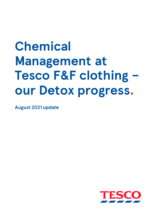# **Chemical Management at Tesco F&F clothing – our Detox progress.**

**August 2021 update**

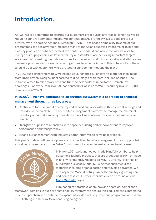# **Introduction.**

At F&F, we are committed to offering our customers great quality affordable fashion as well as reducing our environmental impact. We continue to strive for new ways to accelerate our efforts, even in challenging times. Although COVID-19 has added complexity to some of our programmes and has adversely impacted many of the Asian countries where major textile and clothing production hubs are located, we continue to adjust and adapt the way we work to manage our supply chains whilst maintaining our standards and achieving important targets. We know that by making the right decisions to source our products responsibly and ethically we can make positive steps towards reducing our environmental impact. This in turn will continue to build trust with customers while protecting our communities and the planet.

In 2020, our partnership with WWF helped us launch the F&F children's clothing range, made from 100% cotton. Designs incorporated wildlife images, with facts included on labels. The initiative aimed to raise awareness and funds to help address important sustainability challenges. For every item sold F&F has donated 5% of sales to WWF, resulting in a £200,000 donation in 2020/21.

#### **In 2020/21, we have continued to strengthen our systematic approach to chemical management through three key areas:**

- **1.** Continue to focus on input chemistry and expand our work with all three Zero Discharge and Hazardous Chemicals (ZDHC) accredited management platforms to manage the chemical inventory of our mills, moving towards the use of safer alternatives and more sustainable chemistry.
- **2.** Strengthen supplier relationships with capacity building and empowerment to improve performance and transparency.
- **3.** Expand our engagement with industry sector initiatives to drive best practice.

This year's update outlines our progress on effective chemical management in our supply chain, as well as progress against the Detox Commitment to promote sustainable chemical use.



In March 2021, we launched our Made Mindfully symbol to help customers identify products that are produced, grown, or made in an environmentally responsible way. Currently, over half of our clothing is Made Mindfully, using responsibly sourced materials including organic cotton and recycled polyester. We also apply the Made Mindfully symbol to our toys, greeting cards and home textiles. Further information can be found on our [Made Mindfully](https://www.tesco.com/zones/made-mindfully) pages.

Elimination of hazardous chemicals and chemical compliance

framework remains in our core sustainability strategy, we ensure this requirement is integrated in our supply chain and continue to expand into wider industry solutions programme across our F&F Clothing and General Merchandising categories.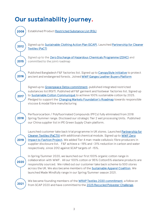# **Our sustainability journey.**

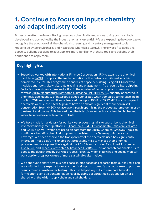# **1. Continue to focus on inputs chemistry and adapt industry tools**

To become effective in monitoring hazardous chemical formulations, using common tools developed and accredited by the industry remains essential. We are expanding the coverage to recognise the adoption of all the chemical screening and inventory management tools recognised by Zero Discharge and Hazardous Chemicals (ZDHC). There were five additional capacity building sessions to get suppliers more familiar with these tools and building their confidence to apply them.

#### **Key highlights**

- Tesco has worked with International Finance Corporation (IFC) to expand the chemical module i[n PaCTII](https://www.textilepact.net/pact-sevices/chemical-management.html) to support the implementation of the Detox commitment which is completed in 2021. This programme consists of capacity building using ZDHC approved modules and tools, site visits, data tracking and engagement. As a result, all participating factories have shown a clear reduction in the number of non-compliant chemicals towards [ZDHC Manufacture Restricted Substance List \(MRSL](https://mrsl.roadmaptozero.com/) v2.0), quantity of hazardous chemicals use, quantity of hazardous sludge generated when compared to the baseline in the first 2019 assessment. It was observed that up to 100% of ZDHC MRSL non-compliant chemicals were substituted. Suppliers have also shown significant reduction in salt consumption from 10-20% on average through optimising the process parameters in pretreatment and dyeing. This has reduced the total dissolved solids content in discharged water from wastewater treatment plants.
- We have made it mandatory for our key wet processing mills to subscribe to chemical inventory management platforms - [CleanChain](https://www.my-aip.com/CleanChain/Login.aspx), [BVE3 Environmental Emission Evaluator](https://www.bureauveritas.com/services+sheet/bve3++environmental+emission+evaluator) and [GoBlue Bhive](https://www.thebhive.net/) – which are based on data from the ZDHC [Chemical](https://www.my-aip.com/ZDHCGateway/Login.aspx) Gateway. We also continue advocating chemical suppliers to register on the Gateway to improve its coverage. We have observed the transparency of the chemicals used has significantly improved. These platforms enable wet processing mills to manage their chemical procurement more proactively against th[e ZDHC Manufacturing Restricted Substances](https://mrsl.roadmaptozero.com/)  [List \(MRSL\)](https://mrsl.roadmaptozero.com/) and [Tesco's Restricted Substances List \(RSiT\)](https://www.tescoplc.com/sustainability/taking-action/environment/ff-protecting-the-environment/). This approach has enabled us to access the data shared by our wet processing units, which in turn has helped us monitor our supplier progress on use of more sustainable alternatives.
- We continue to share new business case studies based on research from our key mills and work with industry experts to assess chemical inputs to identify the root cause of positive results found in wastewater testing. This has helped key mills to eliminate hazardous formulation even at a contamination level, by using best practice solutions which are shared with the wider supply chain and stakeholders.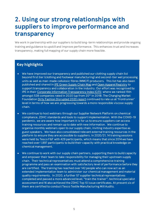# **2. Using our strong relationships with suppliers to improve performance and transparency**

We work in partnership with our suppliers to build long-term relationships and provide ongoing training and guidance to upskill and improve performance. This enhances trust and increases transparency, making full mapping of our supply chain more feasible.

#### **Key highlights**

- We have improved our transparency and published our clothing supply chain list beyond first tier (clothing and footwear manufacturing) and second-tier wet processing units as well as man-made cellulosic fibres (MMCF) producers. This list has also been published and shared in IPE Green [Supply Chain](http://wwwen.ipe.org.cn/MapBrand/Brand.aspx?q=6) Map an[d Open Apparel Registry](https://info.openapparel.org/) to support transparency and collaboration in the industry. Our effort was recognised by IPE in their [Corporate Information Transparency Index \(CITI\)](http://wwwen.ipe.org.cn/GreenSupplyChain/CITI.aspx?hy=7&tt&index=0) where we ranked 15th amongst 538 companies rated in 2020 (up from 20<sup>th</sup> in 2019). The Changing Market Foundation [Dirty Fashion Disrupted 2020](https://changingmarkets.org/portfolio/dirty-fashion/) report continued to rate us at 'frontrunner' level in terms of how we are progressing towards a more responsible viscose supply chain.
- We continue to host webinars through our Supplier Network Platform on chemical compliance, ZDHC standards and tools to support implementation. With the COVID-19 pandemic, we are aware how important it is for us to ensure suppliers can access training resources and remain up to date with new information. We continue to organise monthly webinars open to our supply chain, inviting industry expertise as guest speakers. We have also consolidated relevant external training resources in the platform to ensure they are accessible to suppliers. In 2020/21, 14 training sessions were held by Tesco F&F with 429 participants, which means that since 2014 we have reached over 1,897 participants to build their capacity with practical knowledge on chemical management.
- We continue to work with our supply chain partners, supporting them to build capacity and empower their team to take responsibility for managing their upstream supply chain. Their technical representatives must attend a comprehensive training programme and pass an examination with satisfactory level of performance before they are certified. The training has reached over 142 people who can now act as an extended implementation team to administer our chemical management and material quality requirements. In 2020, a further 57 supplier technical representatives completed and passed a more advanced level, "train the trainer", technical specialist assessment and 16 also achieved the ZDHC Top 10 issue certificates. At present six of them are certified to conduct Tesco Textile Manufacturing Mill Audits.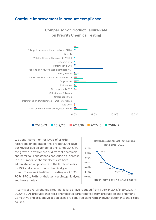#### **Continue improvement in product compliance**



We continue to monitor levels of priority hazardous chemicals in final products, through our regular due diligence testing. Since 2016/17, the growth in awareness of different chemicals and hazardous substances has led to an increase in the number of chemical tests we have administered on products in the last four years by 93% and a reduction in chemical groups found. Those we identified in testing are APEOs, PCPs, PFCs, PAHs, phthalates, carcinogenic dyes, and heavy metals.



In terms of overall chemical testing, failures have reduced from 1.06% in 2016/17 to 0.12% in 2020/21. All products that fail a chemical test are removed from production and shipment. Corrective and preventive action plans are required along with an investigation into their root causes.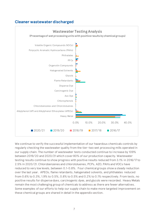#### **Cleaner wastewater discharged**



We continue to verify the successful implementation of our hazardous chemicals controls by regularly checking the wastewater quality from the tier-two wet processing mills operated in our supply chain. The number of wastewater tests conducted continue to increase by 109% between 2019/20 and 2020/21 which cover 80% of our production capacity. Wastewater testing results continue to show progress with positive results reduced from 3.1% in 2016/17 to 2.5% in 2020/21. Chlorobenzenes and chlorotoluenes, PCPs, AZO, PAHs and VOCs have reduced to very low levels, between 0.1-0.8%. Four chemical groups show a steady reduction over the last year. APEOs, flame retardants, halogenated solvents, and phthalates reduced from 0.6% to 0.3%, 1.9% to 0.5%, 0.8% to 0.5% and 0.2% to 0.1% respectively. From tests, no positive results for disperse dyes, carcinogenic dyes, and glycols were recorded. Heavy Metals remain the most challenging group of chemicals to address as there are fewer alternatives . Some examples of our efforts to help our supply chain to make more targeted improvement on these chemical groups are shared in detail in the appendix section.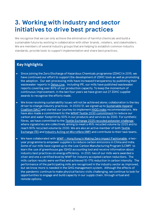# **3. Working with industry and sector initiatives to drive best practices**

We recognise that we can only achieve the elimination of harmful chemicals and build a sustainable future by working in collaboration with other brands, retailers, and stakeholders. We are members of several industry groups that are helping to establish common industry standards, provide tools to support implementation and share best practices.

#### **Key highlights**

- Since joining the Zero Discharge of Hazardous Chemicals programme (ZDHC) in 2015, we have continued our effort to support the development of ZDHC tools as well as promoting the adoption. Our wet processing mills have increased transparency by publishing their wastewater reports i[n Detox.Live.](https://www.detox.live/) Including IPE, our mills have published wastewater reports covering over 80% of our production capacity. To keep the momentum of continuous improvement, in the last four years we have given out 27 ZDHC supplier awards to recognise the efforts made.
- We know resolving sustainability issues will not be achieved alone; collaboration is the key driver to change industry practices. In 2020/21, we signed up to Sustainable Apparel [Coalition \(SAC\)](https://apparelcoalition.org/) and started our journey to implement **HIGG index recommendations**. We have also made a commitment to the [WRAP Textile 2030 commitment](https://wrap.org.uk/taking-action/textiles/initiatives/textiles-2030) to reduce our carbon and water footprint by 50% in our products and services by 2030. For synthetic fibres, we have committed to the Textile Exchange 2025 [recycled polyester challenge](https://textileexchange.org/2025-recycled-polyester-challenge/), where signatories are collectively aiming to meet a 45% recycled volume by 2025 and to reach 90% recycled volume by 2030. We are also an active member of bot[h Textile](https://textileexchange.org/)  [Exchange \(TE\)](https://textileexchange.org/) and [Industry Acting on Microfibre \(IMF\)](https://iamicrofibres.com/) and contribute to their task teams.
- We have collaborated with WWF [Hong Kong in Making Zero Impact Fashionable](https://www.wwf.org.hk/cities/fashion/clothing/), a twoyear programme to empower suppliers to reduce carbon emissions in China and India. Some of our mills have signed up to the Low Carbon Manufacturing Program (LCMP) to learn the use of greenhouse gas (GHG) accounting tool and receive information about industry best practices on energy efficiency. In 2021, two of our mills were awarded a silver and one a certified level by WWF for industry accepted carbon reductions. The mills carbon results were verified and achieved 10-17% reduction in carbon intensity. The performance of the participating mills are recognised in the industry sector as improved, but we know more is needed in the GHG management system. Although the effects of the pandemic continue to make physical factory visits challenging, we continue to look for opportunities to engage and build capacity in our supply chain, through virtual and remote options.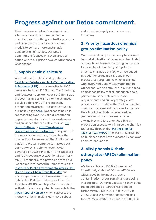# **Progress against our Detox commitment.**

The Greenpeace Detox Campaign aims to eliminate hazardous chemicals in the manufacture of clothing and textile products and promote the adoption of business models to achieve more sustainable consumption of textiles. Our Detox commitment focuses on seven areas of action where our priorities align with those of Greenpeace.

#### **1. Supply chain disclosure**

We continue to publish and update our [Restricted Substances List in Textile, Leather](https://www.tescoplc.com/media/756275/60391v180en-restricted-substances-in-textiles-leather-and-footwear-aug-2020.pdf)  [& Footwear \(RSiT\)](https://www.tescoplc.com/media/756275/60391v180en-restricted-substances-in-textiles-leather-and-footwear-aug-2020.pdf) on our website. In 2020, we have disclosed 100% of our Tier 1 clothing and footwear suppliers, over 80% Tier 2 wet processing mills and 87% Tier 4 man-made cellulosic fibre (MMCF) producers by production coverage. This can be found on our policy page [here.](https://www.tescoplc.com/sustainability/documents/policies/) Wet processing units representing over 80% of our production capacity have also tested their wastewater and published their results either on **IPE** [Detox Platform](http://wwwen.ipe.org.cn/IndustryRecord/Regulatory.html?keycode=4543j9f9ri334233r3rixxxyyo12) o[r ZDHC Wastewater](https://www.detox.live/map)  [Disclosure Portal](https://www.detox.live/map) – Detox.live. This year, with the newly added feature, it can show the connections between our Tier 2 mills on the platform. We will continue to improve our transparency and aim to reach 100% coverage by 2025 for all our Tier 2 suppliers and 100% coverage by 2021 for all our Tier 4 MMCF producers. We have also shared our list of suppliers located in China through the [Institute of Public Environmental Affairs \(IPE\)](http://wwwen.ipe.org.cn/MapBrand/Brand.html?q=6)  [Green Supply Chain Brand Blue Map](http://wwwen.ipe.org.cn/MapBrand/Brand.html?q=6) and encourage them to disclose environmental data to the Pollutant Release and Transfer Registers (PRTR) on this platform. We also actively made our supplier list available in the [Open Apparel Registry](https://info.openapparel.org/) which supports the industry effort in making data more robust

and effectively apply across common initiatives.

## **2. Priority hazardous chemical groups elimination policy**

Our chemical compliance policy has moved beyond elimination of hazardous chemicals in outputs from the manufacturing process to focus on input chemistry of 11 priority chemicals. Since 2019/20, we have added five additional chemical groups in our product test programme which is aligned with ZDHC MRSL and Wastewater Testing Guidelines. We also stipulate in our chemical compliance policy that all our supply chain partners must comply with our RSiT requirements and our key strategic wet processors must utilise the ZDHC accredited chemical management platforms to monitor their input chemicals. Where feasible, partners must use more sustainable alternatives and less chemicals in their production process to minimise the chemical footprint. Through the **Partnership for** [Cleaner Textile \(PaCTII\)](https://www.textilepact.net/) programme a number of business cases have successfully achieved chemical reductions.

## **3. Alkyl phenols & their ethoxylates (APEOs) elimination policy**

We have achieved 100% elimination of intentionally added APEOs. As APEOs are widely used in the industry, some contamination issues remain and are being investigated. Our product testing shows that the occurrence of APEOs has reduced further from 0.6% in 2018/19 to 0.4% in 2020/21 and wastewater positive results from 2.2% in 2018/19 to 0.3% in 2020/21. In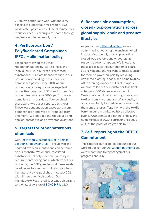2020, we continue to work with industry experts to support our mills with APEOs wastewater positive results to eliminate their input sources. Learnings are shared through webinars within our supply chain.

## **4. Perfluorocarbon / Polyfluorinated Compounds (PFCs)– elimination policy**

Tesco has followed the Detox recommendations by listing all relevant individual PFCs in our list of restricted substances. PFCs are banned for use in our production according to our chemical compliance policy. Since 2018, all our products which require water repellent properties have used PFC-free finishes. Our product testing shows 100% performance compliance. In our due diligence check, there were two cases reported this year. These low concentration cases were from contamination and were all removed from shipment. We analysed the root cause and applied corrective and preventative actions.

#### **5. Targets for other hazardous chemicals**

Our [Restricted Substances List in Textile,](https://www.tescoplc.com/media/756275/60391v180en-restricted-substances-in-textiles-leather-and-footwear-aug-2020.pdf)  [Leather & Footwear \(RSiT\)](https://www.tescoplc.com/media/756275/60391v180en-restricted-substances-in-textiles-leather-and-footwear-aug-2020.pdf) is reviewed and updated every six months and can be found on our website. We ensure restricted substances not only meet minimum legal requirements of regions in which we sell our products, the RSiT goes beyond these levels by adhering to voluntary industry standards. Our latest list was published in August 2021 with 21 new chemicals added. Our Manufacture Restricted Substance List aligns to the latest version of [ZDHC MRSL](https://www.roadmaptozero.com/mrsl_online/) v2.0.

## **6. Responsible consumption, closed-loop operations across global supply-chain and product lifestyles**

As part of our [Little Helps Plan,](https://www.tescoplc.com/sustainability/) we are committed to reducing the environmental impact of our supply chains, promoting closed loop systems and encouraging responsible consumption. We know that these are issues that our customers care strongly about, and we want to make it easier for them to play their part by recycling unwanted clothing, shoes, and home textiles. After running a successful pilot in April 2019, we have rolled out our customer take back scheme to 500 stores across the UK. Customers can donate clothing, shoes, and textiles from any brand and of any quality in our conveniently located collection units at the front of stores. Together with the textile banks in our car parks, we have collected over 12,000 tonnes of clothing, shoes, and home textiles in 2020, representing about 40% of the product weight sold by F&F.

## **7. Self-reporting on the DETOX Commitment**

This report is our principal account of our work to deliver our **DETOX** commitments and we will continue to report against our progress annually.

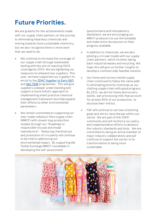# **Future Priorities.**

We are grateful for the achievements made with our supply chain partners on the journey to eliminating hazardous chemicals and moving towards more sustainable chemistry, but we also recognise there is more work that we need to do.

- We continue to increase the coverage of our supply chain through wastewater testing with the aim of reaching 100% coverage by 2025. We are tightening our measures to onboard new suppliers. This year, we have supported our suppliers to enroll to the [ZDHC Supplier to Zero \(StZ\)](https://www.implementation-hub.org/supplier-to-zero) an[d SAC FEM](https://apparelcoalition.org/higg-facility-tools/) programmes. This will give suppliers a deeper understanding and support a more holistic approach to implementing a best practice chemical management framework and help expand their efforts to other environmental parameters.
- We remain committed to supporting our man-made cellulosic fibre supply chain (MMCF) with closed-loop production models through our "Roadmap to responsible viscose and modal manufacture". Reducing chemical use and promotion of circularity will continue to be vital to addressing our environmental impact. By supporting the Textile Exchange MMCF roundtable in developing the self-assessment

questionnaire and transparency dashboard, we are encouraging our MMCF producers to use the template and make more disclosures on their progress available.

- In addition to chemicals, we are also piloting a circular model with our supply chain partners, which involves taking back industrial wastes and recycling. We hope this will give us further insights to develop a commercially feasible solution.
- Our home and nursery textile supply chain continued to follow the same path to eliminating priority chemicals as our clothing supply chain with good progress. By 2022, we aim for home and nursery textile, wet processing mills that account for at least 80% of our production, to disclose their mill list.
- F&F will continue to set new stretching goals and aim to raise the bar within our sector. We are part of the ZDHC community and will reinforce our policy and implementation efforts to advance the industry standards and tools. We are committed to being an active member of major industry collaborations and will continue to support the sector in its transformation to being more sustainable.